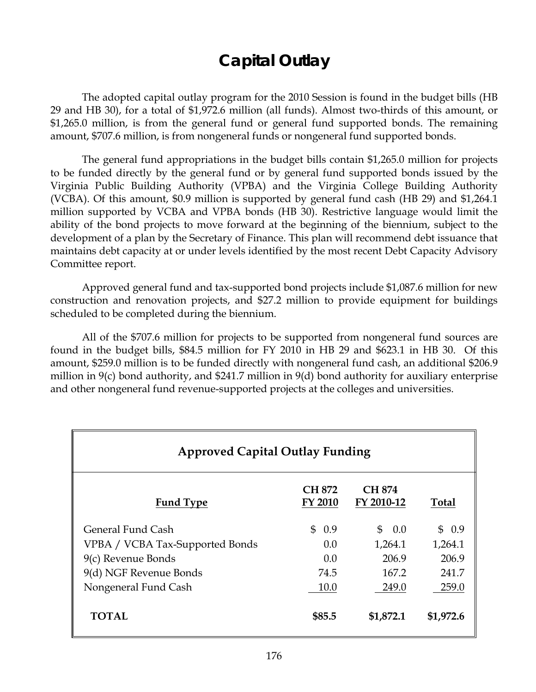# **Capital Outlay**

 The adopted capital outlay program for the 2010 Session is found in the budget bills (HB 29 and HB 30), for a total of \$1,972.6 million (all funds). Almost two-thirds of this amount, or \$1,265.0 million, is from the general fund or general fund supported bonds. The remaining amount, \$707.6 million, is from nongeneral funds or nongeneral fund supported bonds.

The general fund appropriations in the budget bills contain \$1,265.0 million for projects to be funded directly by the general fund or by general fund supported bonds issued by the Virginia Public Building Authority (VPBA) and the Virginia College Building Authority (VCBA). Of this amount, \$0.9 million is supported by general fund cash (HB 29) and \$1,264.1 million supported by VCBA and VPBA bonds (HB 30). Restrictive language would limit the ability of the bond projects to move forward at the beginning of the biennium, subject to the development of a plan by the Secretary of Finance. This plan will recommend debt issuance that maintains debt capacity at or under levels identified by the most recent Debt Capacity Advisory Committee report.

Approved general fund and tax-supported bond projects include \$1,087.6 million for new construction and renovation projects, and \$27.2 million to provide equipment for buildings scheduled to be completed during the biennium.

All of the \$707.6 million for projects to be supported from nongeneral fund sources are found in the budget bills, \$84.5 million for FY 2010 in HB 29 and \$623.1 in HB 30. Of this amount, \$259.0 million is to be funded directly with nongeneral fund cash, an additional \$206.9 million in 9(c) bond authority, and \$241.7 million in 9(d) bond authority for auxiliary enterprise and other nongeneral fund revenue-supported projects at the colleges and universities.

| <b>Approved Capital Outlay Funding</b> |                                 |                             |              |  |
|----------------------------------------|---------------------------------|-----------------------------|--------------|--|
| <b>Fund Type</b>                       | <b>CH 872</b><br><b>FY 2010</b> | <b>CH 874</b><br>FY 2010-12 | <b>Total</b> |  |
| General Fund Cash                      | \$0.9                           | $\mathcal{S}$<br>0.0        | \$0.9        |  |
| VPBA / VCBA Tax-Supported Bonds        | 0.0                             | 1,264.1                     | 1,264.1      |  |
| 9(c) Revenue Bonds                     | 0.0                             | 206.9                       | 206.9        |  |
| 9(d) NGF Revenue Bonds                 | 74.5                            | 167.2                       | 241.7        |  |
| Nongeneral Fund Cash                   | 10.0                            | 249.0                       | 259.0        |  |
| TOTAL                                  | \$85.5                          | \$1,872.1                   | \$1,972.6    |  |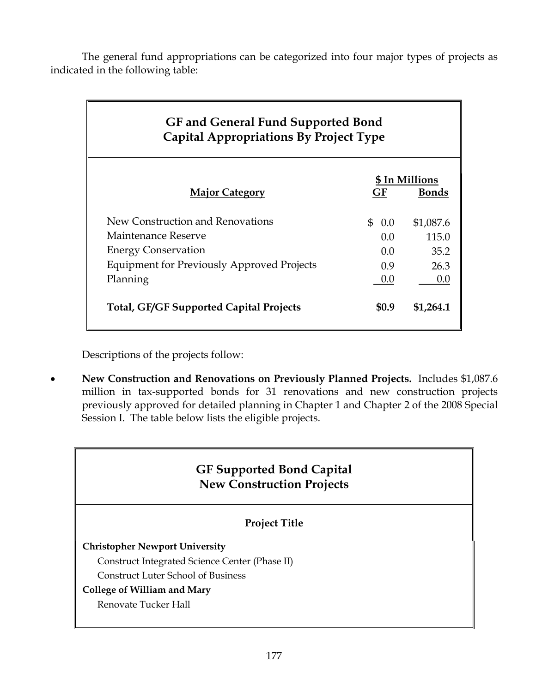The general fund appropriations can be categorized into four major types of projects as indicated in the following table:

| <b>GF</b> and General Fund Supported Bond<br><b>Capital Appropriations By Project Type</b> |                |              |  |
|--------------------------------------------------------------------------------------------|----------------|--------------|--|
|                                                                                            | \$ In Millions |              |  |
| <b>Major Category</b>                                                                      | GF             | <b>Bonds</b> |  |
| New Construction and Renovations                                                           | \$ 0.0         | \$1,087.6    |  |
| Maintenance Reserve                                                                        | 0.0            | 115.0        |  |
| <b>Energy Conservation</b>                                                                 | 0.0            | 35.2         |  |
| <b>Equipment for Previously Approved Projects</b>                                          | 0.9            | 26.3         |  |
| Planning                                                                                   | 0.0            | 0.0          |  |
| <b>Total, GF/GF Supported Capital Projects</b>                                             | <b>SO.9</b>    | \$1,264.1    |  |

Descriptions of the projects follow:

• **New Construction and Renovations on Previously Planned Projects.** Includes \$1,087.6 million in tax-supported bonds for 31 renovations and new construction projects previously approved for detailed planning in Chapter 1 and Chapter 2 of the 2008 Special Session I. The table below lists the eligible projects.

## **GF Supported Bond Capital New Construction Projects**

### **Project Title**

#### **Christopher Newport University**

Construct Integrated Science Center (Phase II)

Construct Luter School of Business

#### **College of William and Mary**

Renovate Tucker Hall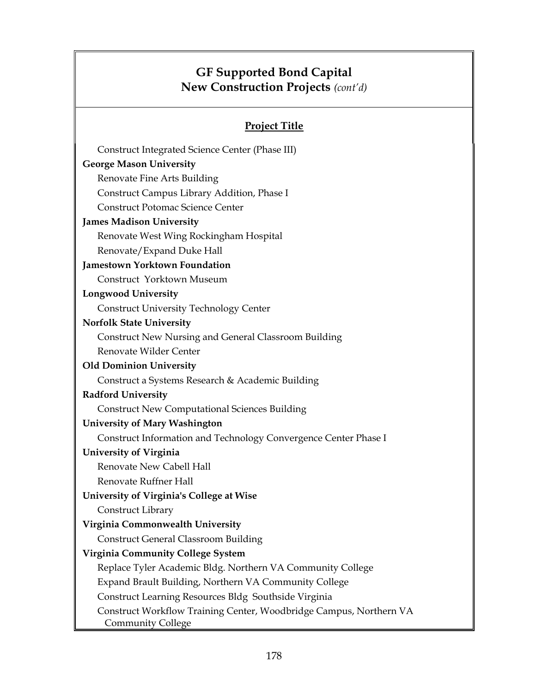## **GF Supported Bond Capital New Construction Projects** *(cont'd)*

## **Project Title**

| Construct Integrated Science Center (Phase III)                                         |
|-----------------------------------------------------------------------------------------|
| <b>George Mason University</b>                                                          |
| Renovate Fine Arts Building                                                             |
| Construct Campus Library Addition, Phase I                                              |
| <b>Construct Potomac Science Center</b>                                                 |
| <b>James Madison University</b>                                                         |
| Renovate West Wing Rockingham Hospital                                                  |
| Renovate/Expand Duke Hall                                                               |
| <b>Jamestown Yorktown Foundation</b>                                                    |
| Construct Yorktown Museum                                                               |
| <b>Longwood University</b>                                                              |
| <b>Construct University Technology Center</b>                                           |
| <b>Norfolk State University</b>                                                         |
| Construct New Nursing and General Classroom Building                                    |
| Renovate Wilder Center                                                                  |
| <b>Old Dominion University</b>                                                          |
| Construct a Systems Research & Academic Building                                        |
| <b>Radford University</b>                                                               |
| <b>Construct New Computational Sciences Building</b>                                    |
| <b>University of Mary Washington</b>                                                    |
| Construct Information and Technology Convergence Center Phase I                         |
| University of Virginia                                                                  |
| Renovate New Cabell Hall                                                                |
| Renovate Ruffner Hall                                                                   |
| University of Virginia's College at Wise                                                |
| Construct Library                                                                       |
| Virginia Commonwealth University                                                        |
| <b>Construct General Classroom Building</b>                                             |
| <b>Virginia Community College System</b>                                                |
| Replace Tyler Academic Bldg. Northern VA Community College                              |
| Expand Brault Building, Northern VA Community College                                   |
| Construct Learning Resources Bldg Southside Virginia                                    |
| Construct Workflow Training Center, Woodbridge Campus, Northern VA<br>Community College |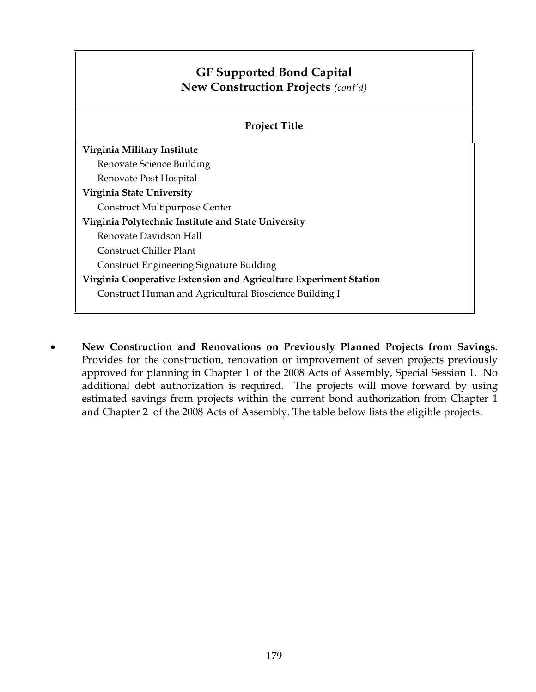## **GF Supported Bond Capital New Construction Projects** *(cont'd)*  **Project Title Virginia Military Institute**  Renovate Science Building Renovate Post Hospital **Virginia State University**  Construct Multipurpose Center **Virginia Polytechnic Institute and State University**  Renovate Davidson Hall Construct Chiller Plant Construct Engineering Signature Building **Virginia Cooperative Extension and Agriculture Experiment Station**  Construct Human and Agricultural Bioscience Building I

• **New Construction and Renovations on Previously Planned Projects from Savings.**  Provides for the construction, renovation or improvement of seven projects previously approved for planning in Chapter 1 of the 2008 Acts of Assembly, Special Session 1. No additional debt authorization is required. The projects will move forward by using estimated savings from projects within the current bond authorization from Chapter 1 and Chapter 2 of the 2008 Acts of Assembly. The table below lists the eligible projects.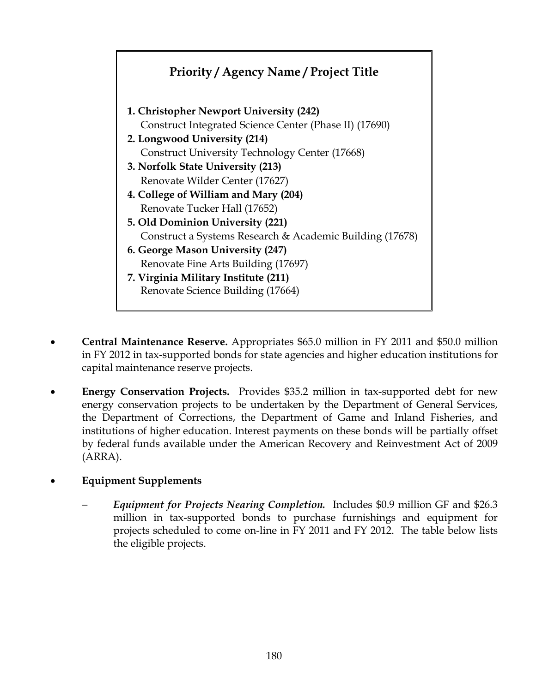

- **Central Maintenance Reserve.** Appropriates \$65.0 million in FY 2011 and \$50.0 million in FY 2012 in tax-supported bonds for state agencies and higher education institutions for capital maintenance reserve projects.
- **Energy Conservation Projects.** Provides \$35.2 million in tax-supported debt for new energy conservation projects to be undertaken by the Department of General Services, the Department of Corrections, the Department of Game and Inland Fisheries, and institutions of higher education. Interest payments on these bonds will be partially offset by federal funds available under the American Recovery and Reinvestment Act of 2009 (ARRA).
- **Equipment Supplements** 
	- − *Equipment for Projects Nearing Completion.* Includes \$0.9 million GF and \$26.3 million in tax-supported bonds to purchase furnishings and equipment for projects scheduled to come on-line in FY 2011 and FY 2012. The table below lists the eligible projects.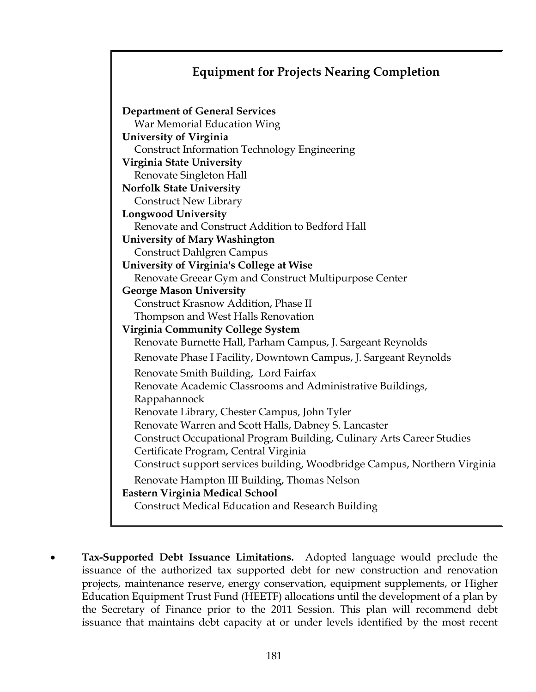## **Equipment for Projects Nearing Completion**

| <b>Department of General Services</b>                                     |
|---------------------------------------------------------------------------|
| War Memorial Education Wing                                               |
| <b>University of Virginia</b>                                             |
| <b>Construct Information Technology Engineering</b>                       |
| Virginia State University                                                 |
| Renovate Singleton Hall                                                   |
| <b>Norfolk State University</b>                                           |
| <b>Construct New Library</b>                                              |
| <b>Longwood University</b>                                                |
| Renovate and Construct Addition to Bedford Hall                           |
| <b>University of Mary Washington</b>                                      |
| <b>Construct Dahlgren Campus</b>                                          |
| University of Virginia's College at Wise                                  |
| Renovate Greear Gym and Construct Multipurpose Center                     |
| <b>George Mason University</b>                                            |
| Construct Krasnow Addition, Phase II                                      |
| Thompson and West Halls Renovation                                        |
| <b>Virginia Community College System</b>                                  |
| Renovate Burnette Hall, Parham Campus, J. Sargeant Reynolds               |
| Renovate Phase I Facility, Downtown Campus, J. Sargeant Reynolds          |
| Renovate Smith Building, Lord Fairfax                                     |
| Renovate Academic Classrooms and Administrative Buildings,                |
| Rappahannock                                                              |
| Renovate Library, Chester Campus, John Tyler                              |
| Renovate Warren and Scott Halls, Dabney S. Lancaster                      |
| Construct Occupational Program Building, Culinary Arts Career Studies     |
| Certificate Program, Central Virginia                                     |
| Construct support services building, Woodbridge Campus, Northern Virginia |
| Renovate Hampton III Building, Thomas Nelson                              |
| Eastern Virginia Medical School                                           |
| <b>Construct Medical Education and Research Building</b>                  |

• **Tax-Supported Debt Issuance Limitations.** Adopted language would preclude the issuance of the authorized tax supported debt for new construction and renovation projects, maintenance reserve, energy conservation, equipment supplements, or Higher Education Equipment Trust Fund (HEETF) allocations until the development of a plan by the Secretary of Finance prior to the 2011 Session. This plan will recommend debt issuance that maintains debt capacity at or under levels identified by the most recent